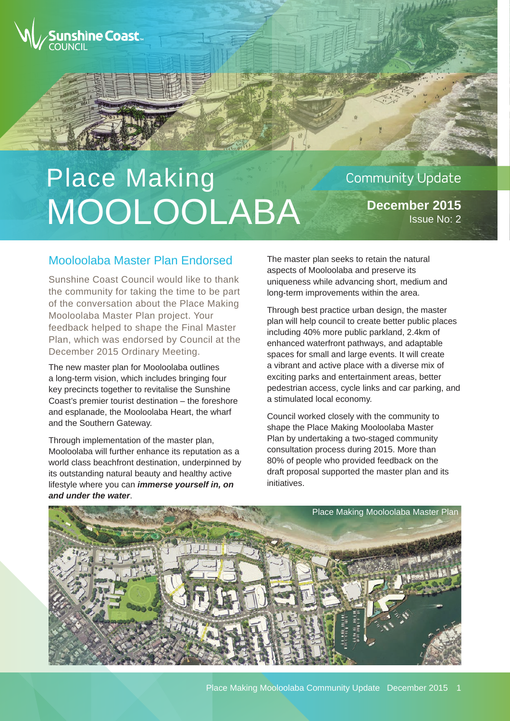

# Place Making MOOLOOLABA

# **Community Update**

**December 2015** Issue No: 2

#### Mooloolaba Master Plan Endorsed

Sunshine Coast Council would like to thank the community for taking the time to be part of the conversation about the Place Making Mooloolaba Master Plan project. Your feedback helped to shape the Final Master Plan, which was endorsed by Council at the December 2015 Ordinary Meeting.

The new master plan for Mooloolaba outlines a long-term vision, which includes bringing four key precincts together to revitalise the Sunshine Coast's premier tourist destination – the foreshore and esplanade, the Mooloolaba Heart, the wharf and the Southern Gateway.

Through implementation of the master plan, Mooloolaba will further enhance its reputation as a world class beachfront destination, underpinned by its outstanding natural beauty and healthy active lifestyle where you can *immerse yourself in, on and under the water*.

The master plan seeks to retain the natural aspects of Mooloolaba and preserve its uniqueness while advancing short, medium and long-term improvements within the area.

Through best practice urban design, the master plan will help council to create better public places including 40% more public parkland, 2.4km of enhanced waterfront pathways, and adaptable spaces for small and large events. It will create a vibrant and active place with a diverse mix of exciting parks and entertainment areas, better pedestrian access, cycle links and car parking, and a stimulated local economy.

Council worked closely with the community to shape the Place Making Mooloolaba Master Plan by undertaking a two-staged community consultation process during 2015. More than 80% of people who provided feedback on the draft proposal supported the master plan and its initiatives.